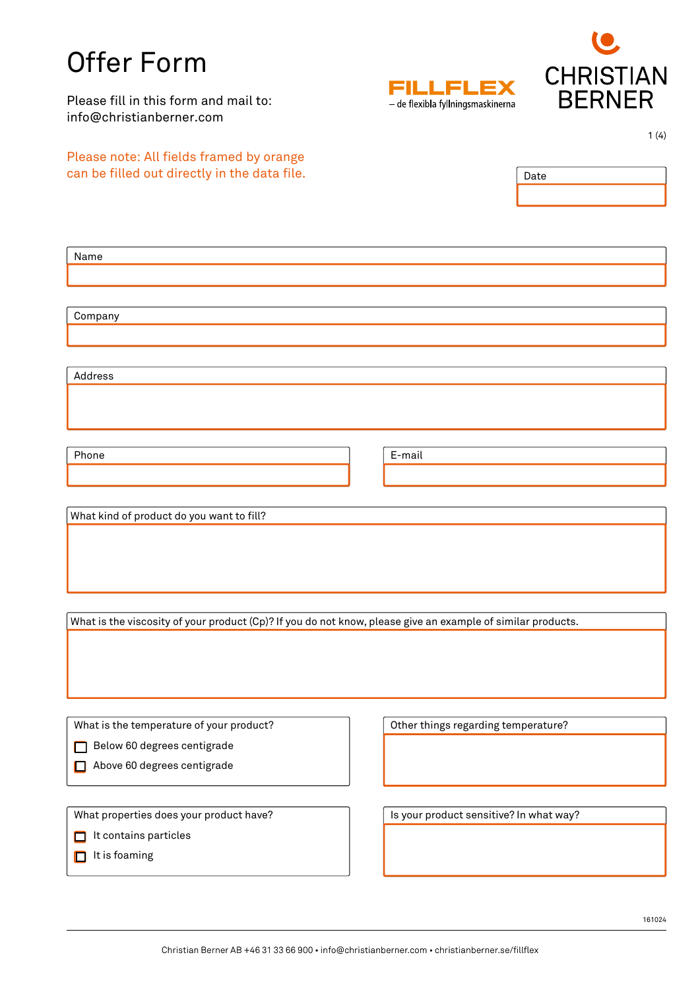## Offer Form

Please fill in this form and mail to: info@christianberner.com

Please note: All fields framed by orange can be filled out directly in the data file.





1 (4)

| Date |  |  |
|------|--|--|
|      |  |  |

Name

Company

Address

Phone E-mail Phone E-mail Phone E-mail Phone E-mail Phone E-mail Phone E-mail

What kind of product do you want to fill?

What is the viscosity of your product (Cp)? If you do not know, please give an example of similar products.

What is the temperature of your product?

- Below 60 degrees centigrade
- Above 60 degrees centigrade

What properties does your product have?

 $\Box$  It contains particles

 $\Box$  It is foaming

Other things regarding temperature?

Is your product sensitive? In what way?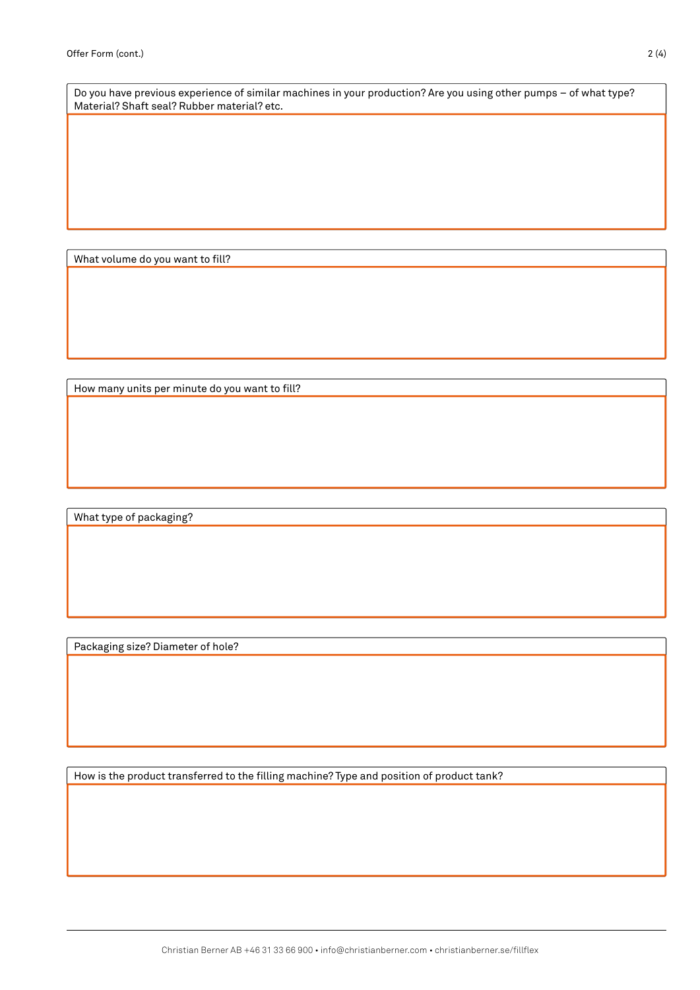Do you have previous experience of similar machines in your production? Are you using other pumps – of what type? Material? Shaft seal? Rubber material? etc.

What volume do you want to fill?

How many units per minute do you want to fill?

What type of packaging?

Packaging size? Diameter of hole?

How is the product transferred to the filling machine? Type and position of product tank?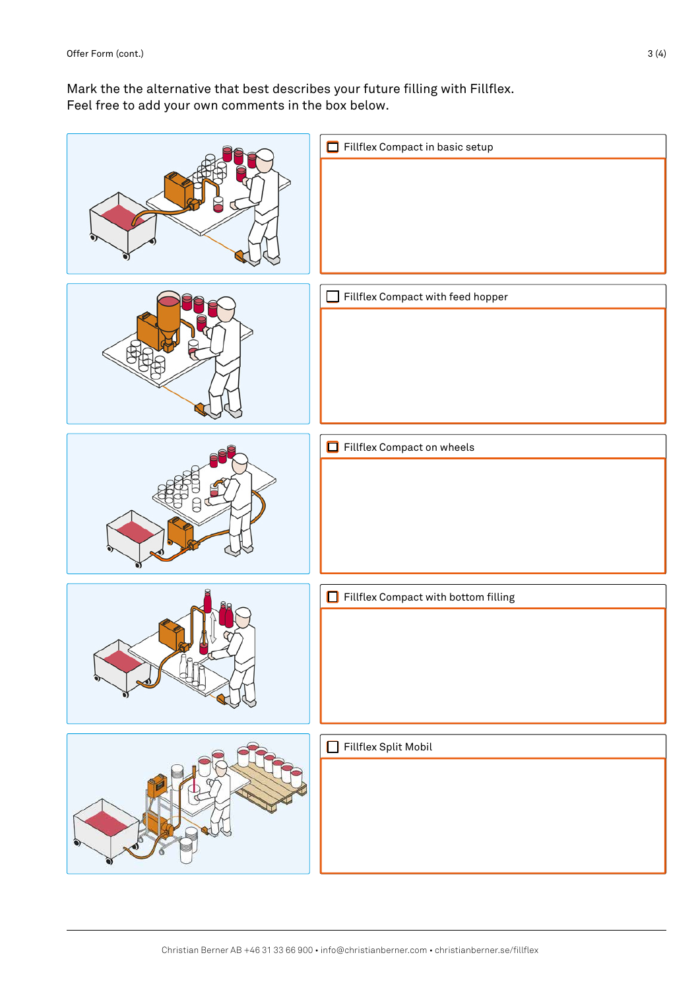Mark the the alternative that best describes your future filling with Fillflex. Feel free to add your own comments in the box below.